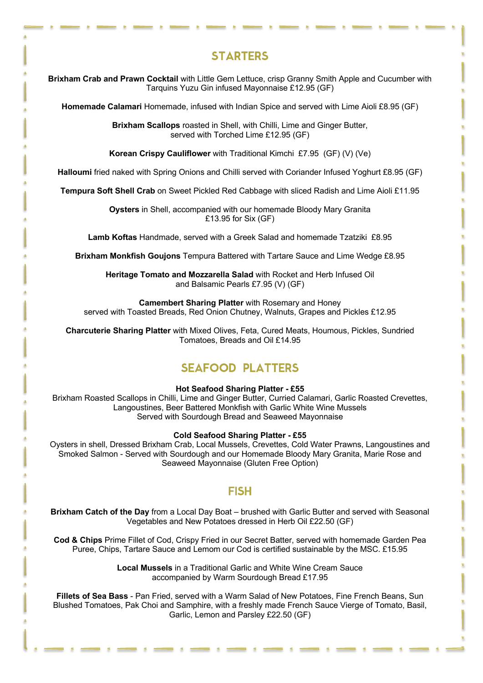# **STARTERS**

**Brixham Crab and Prawn Cocktail** with Little Gem Lettuce, crisp Granny Smith Apple and Cucumber with Tarquins Yuzu Gin infused Mayonnaise £12.95 (GF)

**Homemade Calamari** Homemade, infused with Indian Spice and served with Lime Aioli £8.95 (GF)

**Brixham Scallops** roasted in Shell, with Chilli, Lime and Ginger Butter, served with Torched Lime £12.95 (GF)

**Korean Crispy Cauliflower** with Traditional Kimchi £7.95 (GF) (V) (Ve)

**Halloumi** fried naked with Spring Onions and Chilli served with Coriander Infused Yoghurt £8.95 (GF)

**Tempura Soft Shell Crab** on Sweet Pickled Red Cabbage with sliced Radish and Lime Aioli £11.95

**Oysters** in Shell, accompanied with our homemade Bloody Mary Granita £13.95 for Six (GF)

**Lamb Koftas** Handmade, served with a Greek Salad and homemade Tzatziki £8.95

**Brixham Monkfish Goujons** Tempura Battered with Tartare Sauce and Lime Wedge £8.95

**Heritage Tomato and Mozzarella Salad** with Rocket and Herb Infused Oil and Balsamic Pearls £7.95 (V) (GF)

**Camembert Sharing Platter** with Rosemary and Honey served with Toasted Breads, Red Onion Chutney, Walnuts, Grapes and Pickles £12.95

**Charcuterie Sharing Platter** with Mixed Olives, Feta, Cured Meats, Houmous, Pickles, Sundried Tomatoes, Breads and Oil £14.95

## SEAFOOD PLATTERS

#### **Hot Seafood Sharing Platter - £55**

Brixham Roasted Scallops in Chilli, Lime and Ginger Butter, Curried Calamari, Garlic Roasted Crevettes, Langoustines, Beer Battered Monkfish with Garlic White Wine Mussels Served with Sourdough Bread and Seaweed Mayonnaise

#### **Cold Seafood Sharing Platter - £55**

Oysters in shell, Dressed Brixham Crab, Local Mussels, Crevettes, Cold Water Prawns, Langoustines and Smoked Salmon - Served with Sourdough and our Homemade Bloody Mary Granita, Marie Rose and Seaweed Mayonnaise (Gluten Free Option)

#### FISH

**Brixham Catch of the Day** from a Local Day Boat – brushed with Garlic Butter and served with Seasonal Vegetables and New Potatoes dressed in Herb Oil £22.50 (GF)

**Cod & Chips** Prime Fillet of Cod, Crispy Fried in our Secret Batter, served with homemade Garden Pea Puree, Chips, Tartare Sauce and Lemom our Cod is certified sustainable by the MSC. £15.95

> **Local Mussels** in a Traditional Garlic and White Wine Cream Sauce accompanied by Warm Sourdough Bread £17.95

**Fillets of Sea Bass** - Pan Fried, served with a Warm Salad of New Potatoes, Fine French Beans, Sun Blushed Tomatoes, Pak Choi and Samphire, with a freshly made French Sauce Vierge of Tomato, Basil, Garlic, Lemon and Parsley £22.50 (GF)